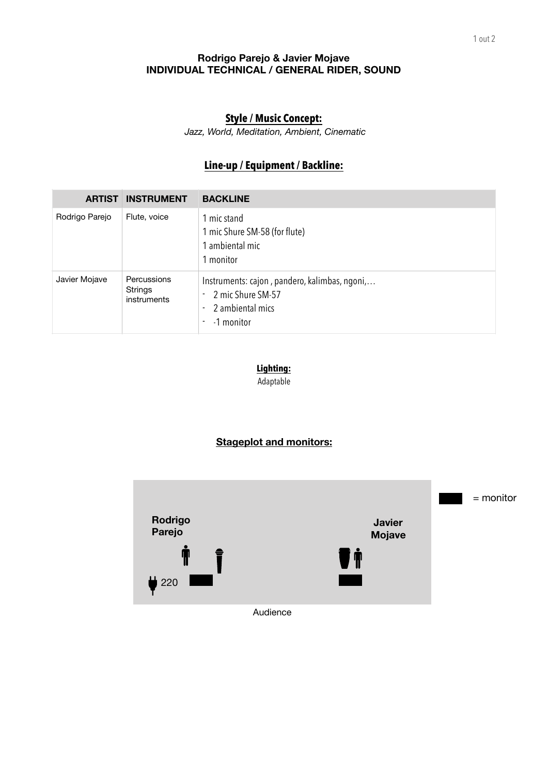## **Rodrigo Parejo & Javier Mojave INDIVIDUAL TECHNICAL / GENERAL RIDER, SOUND**

## **Style / Music Concept:**

*Jazz, World, Meditation, Ambient, Cinematic*

# **Line-up / Equipment / Backline:**

| <b>ARTIST</b>  | <b>INSTRUMENT</b>                     | <b>BACKLINE</b>                                                                                                     |
|----------------|---------------------------------------|---------------------------------------------------------------------------------------------------------------------|
| Rodrigo Parejo | Flute, voice                          | 1 mic stand<br>1 mic Shure SM-58 (for flute)<br>1 ambiental mic<br>1 monitor                                        |
| Javier Mojave  | Percussions<br>Strings<br>instruments | Instruments: cajon, pandero, kalimbas, ngoni,<br>2 mic Shure SM-57<br>٠<br>2 ambiental mics<br>٠<br>-1 monitor<br>٠ |

**Lighting:**  Adaptable

## **Stageplot and monitors:**



Audience